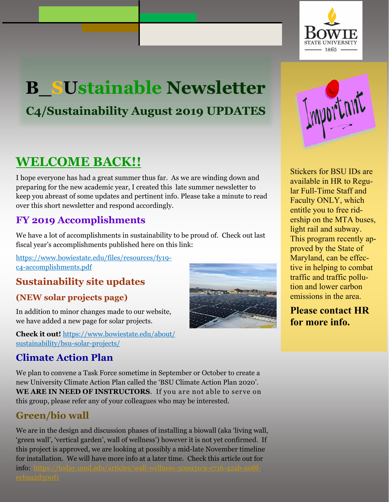

# **B\_SUstainable Newsletter C4/Sustainability August 2019 UPDATES**

# **WELCOME BACK!!**

I hope everyone has had a great summer thus far. As we are winding down and preparing for the new academic year, I created this late summer newsletter to keep you abreast of some updates and pertinent info. Please take a minute to read over this short newsletter and respond accordingly.

## **FY 2019 Accomplishments**

We have a lot of accomplishments in sustainability to be proud of. Check out last fiscal year's accomplishments published here on this link:

[https://www.bowiestate.edu/files/resources/fy19](https://www.bowiestate.edu/files/resources/fy19-c4-accomplishments.pdf) [c4-accomplishments.pdf](https://www.bowiestate.edu/files/resources/fy19-c4-accomplishments.pdf)

## **Sustainability site updates**

### **(NEW solar projects page)**

In addition to minor changes made to our website, we have added a new page for solar projects.

**Check it out!** [https://www.bowiestate.edu/about/](https://www.bowiestate.edu/about/sustainability/bsu-solar-projects/) sustainability/bsu-solar-projects/

## **Climate Action Plan**

We plan to convene a Task Force sometime in September or October to create a new University Climate Action Plan called the 'BSU Climate Action Plan 2020'. **WE ARE IN NEED OF INSTRUCTORS**. If you are not able to serve on this group, please refer any of your colleagues who may be interested.

## **Green/bio wall**

We are in the design and discussion phases of installing a biowall (aka 'living wall, 'green wall', 'vertical garden', wall of wellness') however it is not yet confirmed. If this project is approved, we are looking at possibly a mid-late November timeline for installation. We will have more info at a later time. Check this article out for [info:](https://today.umd.edu/articles/wall-wellness-50a931c9-e716-42ab-a08f-ecbaa2d300f1) [https://today.umd.edu/articles/wall-wellness-50a931c9-e716-42ab-a](https://today.umd.edu/articles/wall-wellness-50a931c9-e716-42ab-a08f-ecbaa2d300f1Stickers)[08f-](https://today.umd.edu/articles/wall-wellness-50a931c9-e716-42ab-a08f-ecbaa2d300f1)



[Stickers fo](https://today.umd.edu/articles/wall-wellness-50a931c9-e716-42ab-a08f-ecbaa2d300f1Stickers)r BSU IDs are available in HR to Regular Full-Time Staff and Faculty ONLY, which entitle you to free ridership on the MTA buses, light rail and subway. This program recently approved by the State of Maryland, can be effective in helping to combat traffic and traffic pollution and lower carbon emissions in the area.

### **Please contact HR for more info.**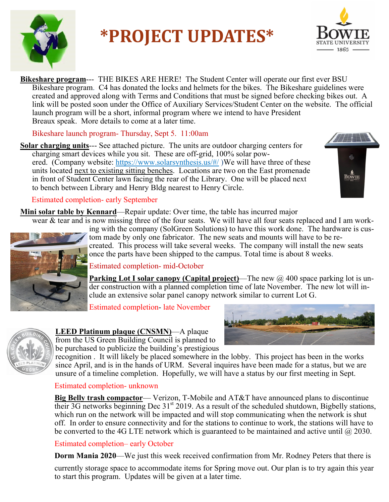

# **\*PROJECT UPDATES\***



**Bikeshare program**--- THE BIKES ARE HERE! The Student Center will operate our first ever BSU Bikeshare program. C4 has donated the locks and helmets for the bikes. The Bikeshare guidelines were created and approved along with Terms and Conditions that must be signed before checking bikes out. A link will be posted soon under the Office of Auxiliary Services/Student Center on the website. The official launch program will be a short, informal program where we intend to have President Breaux speak. More details to come at a later time.

Bikeshare launch program- Thursday, Sept 5. 11:00am

**Solar charging units**--- See attached picture. The units are outdoor charging centers for charging smart devices while you sit. These are off-grid, 100% solar powered. (Company website: https://www.solarsynthesis.us/#/)We will have three of these units located next to existing sitting benches. Locations are two on the East promenade in front of Student Center lawn facing the rear of the Library. One will be placed next to bench between Library and Henry Bldg nearest to Henry Circle.



#### Estimated completion- early September

**Mini solar table by Kennard**—Repair update: Over time, the table has incurred major

ing with the company (SolGreen Solutions) to have an four seats replaced and 1 am work-<br>ing with the company (SolGreen Solutions) to have this work done. The hardware is cuswear & tear and is now missing three of the four seats. We will have all four seats replaced and I am work-



tom made by only one fabricator. The new seats and mounts will have to be recreated. This process will take several weeks. The company will install the new seats once the parts have been shipped to the campus. Total time is about 8 weeks.

Estimated completion- mid-October

der construction with a planned completion time of late November. The new lot will in-**Parking Lot I solar canopy (Capital project)**—The new @ 400 space parking lot is unclude an extensive solar panel canopy network similar to current Lot G.

Estimated completion- late November



#### **LEED Platinum plaque (CNSMN)**—A plaque from the US Green Building Council is planned to

be purchased to publicize the building's prestigious

recognition . It will likely be placed somewhere in the lobby. This project has been in the works since April, and is in the hands of URM. Several inquires have been made for a status, but we are unsure of a timeline completion. Hopefully, we will have a status by our first meeting in Sept.

#### Estimated completion- unknown

**Big Belly trash compactor**— Verizon, T-Mobile and AT&T have announced plans to discontinue their 3G networks beginning Dec  $31<sup>st</sup> 2019$ . As a result of the scheduled shutdown, Bigbelly stations, which run on the network will be impacted and will stop communicating when the network is shut off. In order to ensure connectivity and for the stations to continue to work, the stations will have to be converted to the 4G LTE network which is guaranteed to be maintained and active until  $@$  2030.

#### Estimated completion– early October

 **Dorm Mania 2020**—We just this week received confirmation from Mr. Rodney Peters that there is

 currently storage space to accommodate items for Spring move out. Our plan is to try again this year to start this program. Updates will be given at a later time.

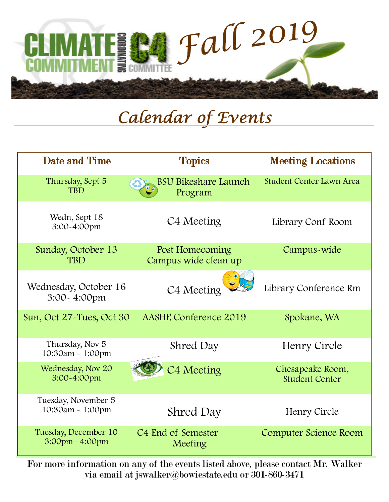

# *Calendar of Events*

| Date and Time                           | <b>Topics</b>                             | <b>Meeting Locations</b>                  |
|-----------------------------------------|-------------------------------------------|-------------------------------------------|
| Thursday, Sept 5<br><b>TBD</b>          | Bikeshare Launch<br><b>BSU</b><br>Program | <b>Student Center Lawn Area</b>           |
| Wedn, Sept 18<br>3:00~4:00pm            | C4 Meeting                                | Library Conf Room                         |
| Sunday, October 13<br><b>TRD</b>        | Post Homecoming<br>Campus wide clean up   | Campus-wide                               |
| Wednesday, October 16<br>3:00~4:00pm    | C4 Meeting                                | Library Conference Rm                     |
| Sun, Oct 27-Tues, Oct 30                | <b>AASHE Conference 2019</b>              | Spokane, WA                               |
| Thursday, Nov 5<br>10:30am - 1:00pm     | Shred Day                                 | Henry Circle                              |
| Wednesday, Nov 20<br>3:00~4:00pm        | C4 Meeting                                | Chesapeake Room,<br><b>Student Center</b> |
| Tuesday, November 5<br>10:30am - 1:00pm | Shred Day                                 | Henry Circle                              |
| Tuesday, December 10<br>3:00pm-4:00pm   | C <sub>4</sub> End of Semester<br>Meeting | Computer Science Room                     |

For more information on any of the events listed above, please contact Mr. Walker via email at jswalker[@bowiestate.edu](mailto:jswalker@bowiestate.edu) or 301-860-3471